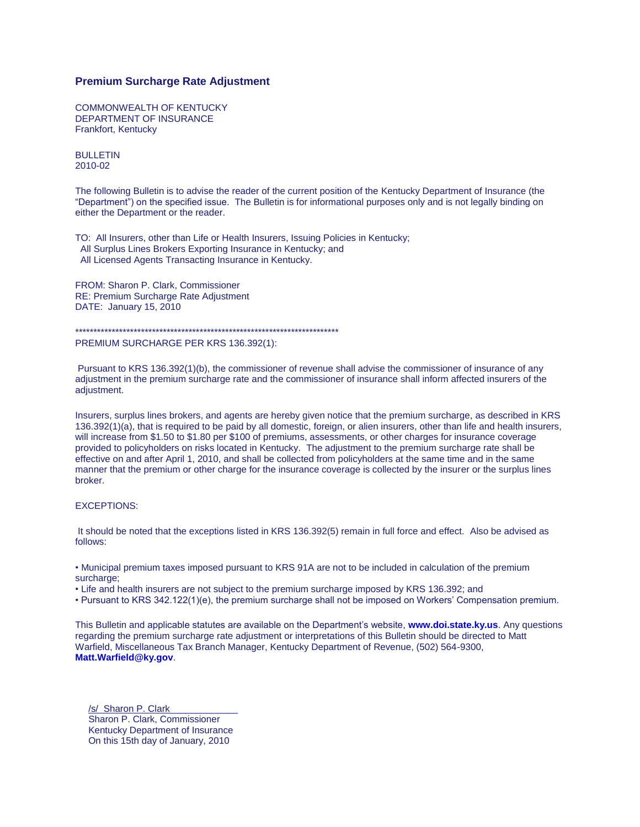## **Premium Surcharge Rate Adjustment**

COMMONWEALTH OF KENTUCKY DEPARTMENT OF INSURANCE Frankfort, Kentucky

BULLETIN 2010-02

The following Bulletin is to advise the reader of the current position of the Kentucky Department of Insurance (the "Department") on the specified issue. The Bulletin is for informational purposes only and is not legally binding on either the Department or the reader.

TO: All Insurers, other than Life or Health Insurers, Issuing Policies in Kentucky; All Surplus Lines Brokers Exporting Insurance in Kentucky; and All Licensed Agents Transacting Insurance in Kentucky.

FROM: Sharon P. Clark, Commissioner RE: Premium Surcharge Rate Adjustment DATE: January 15, 2010

\*\*\*\*\*\*\*\*\*\*\*\*\*\*\*\*\*\*\*\*\*\*\*\*\*\*\*\*\*\*\*\*\*\*\*\*\*\*\*\*\*\*\*\*\*\*\*\*\*\*\*\*\*\*\*\*\*\*\*\*\*\*\*\*\*\*\*\*\*\*\*\* PREMIUM SURCHARGE PER KRS 136.392(1):

Pursuant to KRS 136.392(1)(b), the commissioner of revenue shall advise the commissioner of insurance of any adjustment in the premium surcharge rate and the commissioner of insurance shall inform affected insurers of the adjustment.

Insurers, surplus lines brokers, and agents are hereby given notice that the premium surcharge, as described in KRS 136.392(1)(a), that is required to be paid by all domestic, foreign, or alien insurers, other than life and health insurers, will increase from \$1.50 to \$1.80 per \$100 of premiums, assessments, or other charges for insurance coverage provided to policyholders on risks located in Kentucky. The adjustment to the premium surcharge rate shall be effective on and after April 1, 2010, and shall be collected from policyholders at the same time and in the same manner that the premium or other charge for the insurance coverage is collected by the insurer or the surplus lines broker.

## EXCEPTIONS:

It should be noted that the exceptions listed in KRS 136.392(5) remain in full force and effect. Also be advised as follows:

• Municipal premium taxes imposed pursuant to KRS 91A are not to be included in calculation of the premium surcharge;

• Life and health insurers are not subject to the premium surcharge imposed by KRS 136.392; and

• Pursuant to KRS 342.122(1)(e), the premium surcharge shall not be imposed on Workers' Compensation premium.

This Bulletin and applicable statutes are available on the Department's website, **[www.doi.state.ky.us](http://www.doi.state.ky.us/)**. Any questions regarding the premium surcharge rate adjustment or interpretations of this Bulletin should be directed to Matt Warfield, Miscellaneous Tax Branch Manager, Kentucky Department of Revenue, (502) 564-9300, **[Matt.Warfield@ky.gov](mailto:Matt.Warfield@ky.gov)**.

/s/ Sharon P. Clark Sharon P. Clark, Commissioner Kentucky Department of Insurance On this 15th day of January, 2010